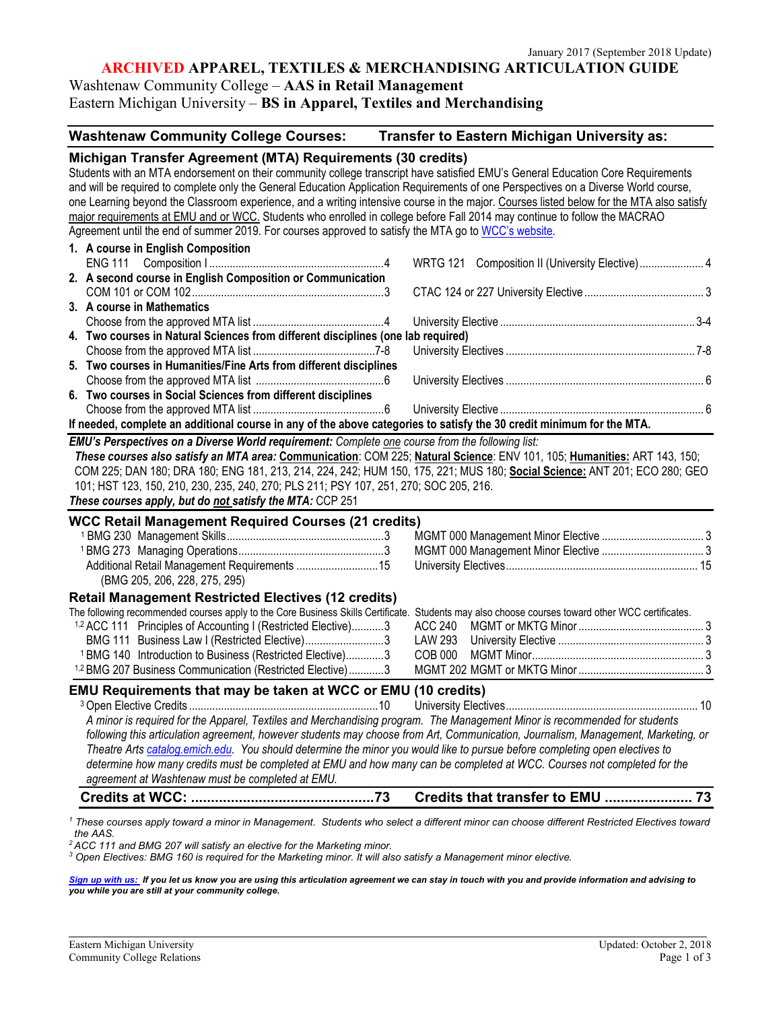# **ARCHIVED APPAREL, TEXTILES & MERCHANDISING ARTICULATION GUIDE**

## Washtenaw Community College – **AAS in Retail Management**

Eastern Michigan University – **BS in Apparel, Textiles and Merchandising**

## **Washtenaw Community College Courses: Transfer to Eastern Michigan University as:**

| Michigan Transfer Agreement (MTA) Requirements (30 credits)                                                                                      |                                                 |
|--------------------------------------------------------------------------------------------------------------------------------------------------|-------------------------------------------------|
| Students with an MTA endorsement on their community college transcript have satisfied EMU's General Education Core Requirements                  |                                                 |
| and will be required to complete only the General Education Application Requirements of one Perspectives on a Diverse World course,              |                                                 |
| one Learning beyond the Classroom experience, and a writing intensive course in the major. Courses listed below for the MTA also satisfy         |                                                 |
| major requirements at EMU and or WCC. Students who enrolled in college before Fall 2014 may continue to follow the MACRAO                        |                                                 |
| Agreement until the end of summer 2019. For courses approved to satisfy the MTA go to WCC's website.                                             |                                                 |
| 1. A course in English Composition                                                                                                               |                                                 |
|                                                                                                                                                  | WRTG 121 Composition II (University Elective) 4 |
| 2. A second course in English Composition or Communication                                                                                       |                                                 |
|                                                                                                                                                  |                                                 |
| 3. A course in Mathematics                                                                                                                       |                                                 |
|                                                                                                                                                  |                                                 |
| 4. Two courses in Natural Sciences from different disciplines (one lab required)                                                                 |                                                 |
|                                                                                                                                                  |                                                 |
| 5. Two courses in Humanities/Fine Arts from different disciplines                                                                                |                                                 |
|                                                                                                                                                  |                                                 |
| 6. Two courses in Social Sciences from different disciplines                                                                                     |                                                 |
|                                                                                                                                                  |                                                 |
| If needed, complete an additional course in any of the above categories to satisfy the 30 credit minimum for the MTA.                            |                                                 |
| EMU's Perspectives on a Diverse World requirement: Complete one course from the following list:                                                  |                                                 |
| These courses also satisfy an MTA area: Communication: COM 225; Natural Science: ENV 101, 105; Humanities: ART 143, 150;                         |                                                 |
| COM 225; DAN 180; DRA 180; ENG 181, 213, 214, 224, 242; HUM 150, 175, 221; MUS 180; Social Science: ANT 201; ECO 280; GEO                        |                                                 |
| 101; HST 123, 150, 210, 230, 235, 240, 270; PLS 211; PSY 107, 251, 270; SOC 205, 216.                                                            |                                                 |
| These courses apply, but do not satisfy the MTA: CCP 251                                                                                         |                                                 |
|                                                                                                                                                  |                                                 |
| <b>WCC Retail Management Required Courses (21 credits)</b>                                                                                       |                                                 |
|                                                                                                                                                  |                                                 |
|                                                                                                                                                  |                                                 |
| Additional Retail Management Requirements 15                                                                                                     |                                                 |
| (BMG 205, 206, 228, 275, 295)                                                                                                                    |                                                 |
| <b>Retail Management Restricted Electives (12 credits)</b>                                                                                       |                                                 |
| The following recommended courses apply to the Core Business Skills Certificate. Students may also choose courses toward other WCC certificates. |                                                 |
| <sup>1,2</sup> ACC 111 Principles of Accounting I (Restricted Elective)3                                                                         | ACC 240                                         |
| BMG 111 Business Law I (Restricted Elective)3                                                                                                    | <b>LAW 293</b>                                  |
| <sup>1</sup> BMG 140 Introduction to Business (Restricted Elective)3                                                                             | <b>COB 000</b>                                  |
| <sup>1,2</sup> BMG 207 Business Communication (Restricted Elective)3                                                                             |                                                 |
| EMU Requirements that may be taken at WCC or EMU (10 credits)                                                                                    |                                                 |
|                                                                                                                                                  |                                                 |
| A minor is required for the Apparel, Textiles and Merchandising program. The Management Minor is recommended for students                        |                                                 |
| following this articulation agreement, however students may choose from Art, Communication, Journalism, Management, Marketing, or                |                                                 |
| Theatre Arts catalog.emich.edu. You should determine the minor you would like to pursue before completing open electives to                      |                                                 |
| determine how many credits must be completed at EMU and how many can be completed at WCC. Courses not completed for the                          |                                                 |
| agreement at Washtenaw must be completed at EMU.                                                                                                 |                                                 |
|                                                                                                                                                  | Credits that transfer to EMU  73                |
|                                                                                                                                                  |                                                 |

*<sup>1</sup> These courses apply toward a minor in Management. Students who select a different minor can choose different Restricted Electives toward the AAS.*

*<sup>2</sup> ACC 111 and BMG 207 will satisfy an elective for the Marketing minor.*

*<sup>3</sup> Open Electives: BMG 160 is required for the Marketing minor. It will also satisfy a Management minor elective.* 

*[Sign up with us: I](https://www.emich.edu/ccr/articulation-agreements/signup.php)f you let us know you are using this articulation agreement we can stay in touch with you and provide information and advising to you while you are still at your community college.*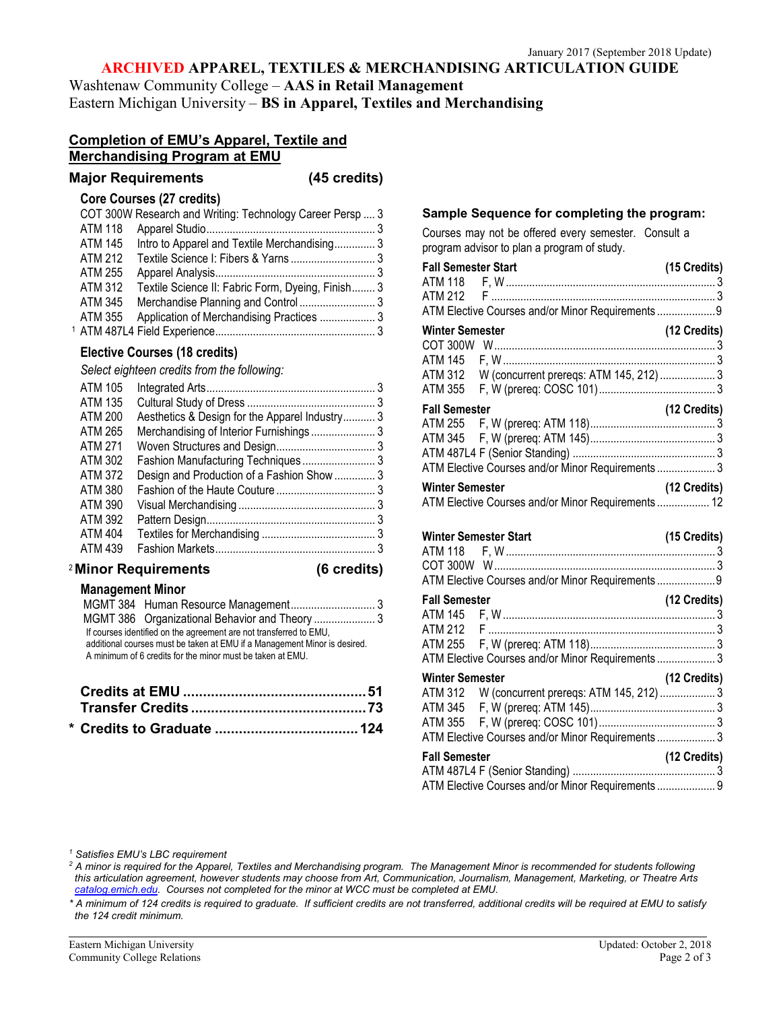## **ARCHIVED APPAREL, TEXTILES & MERCHANDISING ARTICULATION GUIDE**

Washtenaw Community College – **AAS in Retail Management** Eastern Michigan University – **BS in Apparel, Textiles and Merchandising**

## **Completion of EMU's Apparel, Textile and Merchandising Program at EMU**

### **Major Requirements (45 credits)**

#### **Core Courses (27 credits)**

|                | COT 300W Research and Writing: Technology Career Persp  3 |  |
|----------------|-----------------------------------------------------------|--|
| <b>ATM 118</b> |                                                           |  |
| ATM 145        | Intro to Apparel and Textile Merchandising 3              |  |
| <b>ATM 212</b> |                                                           |  |
| <b>ATM 255</b> |                                                           |  |
| <b>ATM 312</b> | Textile Science II: Fabric Form, Dyeing, Finish 3         |  |
| ATM 345        |                                                           |  |
| ATM 355        | Application of Merchandising Practices  3                 |  |
|                |                                                           |  |

## **Elective Courses (18 credits)**

*Select eighteen credits from the following:*

| ATM 105        |                                                |  |
|----------------|------------------------------------------------|--|
| ATM 135        |                                                |  |
| ATM 200        | Aesthetics & Design for the Apparel Industry 3 |  |
| ATM 265        |                                                |  |
| ATM 271        |                                                |  |
| ATM 302        |                                                |  |
| ATM 372        | Design and Production of a Fashion Show  3     |  |
| ATM 380        |                                                |  |
| ATM 390        |                                                |  |
| ATM 392        |                                                |  |
| <b>ATM 404</b> |                                                |  |
| <b>ATM 439</b> |                                                |  |
|                |                                                |  |

#### <sup>2</sup> **Minor Requirements (6 credits)**

| (6 credits) |  |
|-------------|--|
|-------------|--|

### **Management Minor**

| If courses identified on the agreement are not transferred to EMU.<br>additional courses must be taken at EMU if a Management Minor is desired. |  |
|-------------------------------------------------------------------------------------------------------------------------------------------------|--|
| A minimum of 6 credits for the minor must be taken at EMU.                                                                                      |  |

#### **Sample Sequence for completing the program:**

Courses may not be offered every semester. Consult a program advisor to plan a program of study.

| <b>Fall Semester Start</b> |                                                                                                                                                          | (15 Credits)   |
|----------------------------|----------------------------------------------------------------------------------------------------------------------------------------------------------|----------------|
|                            | ATM Elective Courses and/or Minor Requirements9                                                                                                          |                |
| <b>Winter Semester</b>     | ATM 312 W (concurrent prereqs: ATM 145, 212)  3                                                                                                          | (12 Credits)   |
| <b>Fall Semester</b>       |                                                                                                                                                          | (12 Credits)   |
|                            | ATM Elective Courses and/or Minor Requirements  3                                                                                                        |                |
| <b>Winter Semester</b>     | ATM Elective Courses and/or Minor Requirements  12                                                                                                       | (12 Credits)   |
|                            |                                                                                                                                                          |                |
|                            |                                                                                                                                                          | (15 Credits)   |
| <b>Fall Semester</b>       | ATM Elective Courses and/or Minor Requirements  9                                                                                                        | (12 Credits)   |
| <b>Winter Semester</b>     | ATM Elective Courses and/or Minor Requirements 3<br>ATM 312 W (concurrent prereqs: ATM 145, 212)  3<br>ATM Elective Courses and/or Minor Requirements  3 | $(12$ Credits) |

ATM 487L4 F (Senior Standing) ................................................. 3 ATM Elective Courses and/or Minor Requirements .................... 9

*<sup>1</sup> Satisfies EMU's LBC requirement*

*<sup>2</sup> A minor is required for the Apparel, Textiles and Merchandising program. The Management Minor is recommended for students following this articulation agreement, however students may choose from Art, Communication, Journalism, Management, Marketing, or Theatre Arts catalog.emich.edu. Courses not completed for the minor at WCC must be completed at EMU.*

*\* A minimum of 124 credits is required to graduate. If sufficient credits are not transferred, additional credits will be required at EMU to satisfy the 124 credit minimum.*